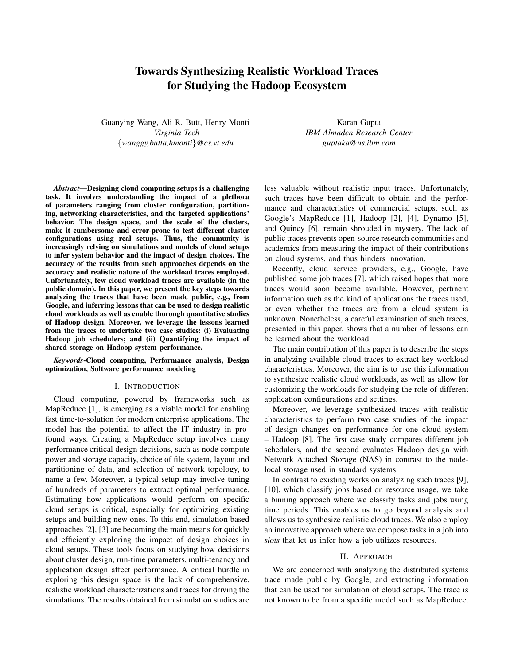# **Towards Synthesizing Realistic Workload Traces for Studying the Hadoop Ecosystem**

Guanying Wang, Ali R. Butt, Henry Monti *Virginia Tech* {*wanggy,butta,hmonti*}*@cs.vt.edu*

Karan Gupta *IBM Almaden Research Center guptaka@us.ibm.com*

*Abstract***—Designing cloud computing setups is a challenging task. It involves understanding the impact of a plethora of parameters ranging from cluster configuration, partitioning, networking characteristics, and the targeted applications' behavior. The design space, and the scale of the clusters, make it cumbersome and error-prone to test different cluster configurations using real setups. Thus, the community is increasingly relying on simulations and models of cloud setups to infer system behavior and the impact of design choices. The accuracy of the results from such approaches depends on the accuracy and realistic nature of the workload traces employed. Unfortunately, few cloud workload traces are available (in the public domain). In this paper, we present the key steps towards analyzing the traces that have been made public, e.g., from Google, and inferring lessons that can be used to design realistic cloud workloads as well as enable thorough quantitative studies of Hadoop design. Moreover, we leverage the lessons learned from the traces to undertake two case studies: (i) Evaluating Hadoop job schedulers; and (ii) Quantifying the impact of shared storage on Hadoop system performance.**

*Keywords***-Cloud computing, Performance analysis, Design optimization, Software performance modeling**

#### I. INTRODUCTION

Cloud computing, powered by frameworks such as MapReduce [1], is emerging as a viable model for enabling fast time-to-solution for modern enterprise applications. The model has the potential to affect the IT industry in profound ways. Creating a MapReduce setup involves many performance critical design decisions, such as node compute power and storage capacity, choice of file system, layout and partitioning of data, and selection of network topology, to name a few. Moreover, a typical setup may involve tuning of hundreds of parameters to extract optimal performance. Estimating how applications would perform on specific cloud setups is critical, especially for optimizing existing setups and building new ones. To this end, simulation based approaches [2], [3] are becoming the main means for quickly and efficiently exploring the impact of design choices in cloud setups. These tools focus on studying how decisions about cluster design, run-time parameters, multi-tenancy and application design affect performance. A critical hurdle in exploring this design space is the lack of comprehensive, realistic workload characterizations and traces for driving the simulations. The results obtained from simulation studies are less valuable without realistic input traces. Unfortunately, such traces have been difficult to obtain and the performance and characteristics of commercial setups, such as Google's MapReduce [1], Hadoop [2], [4], Dynamo [5], and Quincy [6], remain shrouded in mystery. The lack of public traces prevents open-source research communities and academics from measuring the impact of their contributions on cloud systems, and thus hinders innovation.

Recently, cloud service providers, e.g., Google, have published some job traces [7], which raised hopes that more traces would soon become available. However, pertinent information such as the kind of applications the traces used, or even whether the traces are from a cloud system is unknown. Nonetheless, a careful examination of such traces, presented in this paper, shows that a number of lessons can be learned about the workload.

The main contribution of this paper is to describe the steps in analyzing available cloud traces to extract key workload characteristics. Moreover, the aim is to use this information to synthesize realistic cloud workloads, as well as allow for customizing the workloads for studying the role of different application configurations and settings.

Moreover, we leverage synthesized traces with realistic characteristics to perform two case studies of the impact of design changes on performance for one cloud system – Hadoop [8]. The first case study compares different job schedulers, and the second evaluates Hadoop design with Network Attached Storage (NAS) in contrast to the nodelocal storage used in standard systems.

In contrast to existing works on analyzing such traces [9], [10], which classify jobs based on resource usage, we take a binning approach where we classify tasks and jobs using time periods. This enables us to go beyond analysis and allows us to synthesize realistic cloud traces. We also employ an innovative approach where we compose tasks in a job into *slots* that let us infer how a job utilizes resources.

### II. APPROACH

We are concerned with analyzing the distributed systems trace made public by Google, and extracting information that can be used for simulation of cloud setups. The trace is not known to be from a specific model such as MapReduce.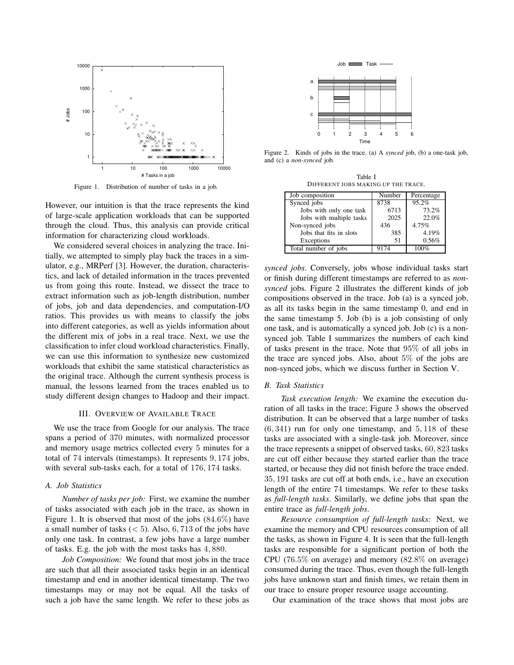

Figure 1. Distribution of number of tasks in a job.

However, our intuition is that the trace represents the kind of large-scale application workloads that can be supported through the cloud. Thus, this analysis can provide critical information for characterizing cloud workloads.

We considered several choices in analyzing the trace. Initially, we attempted to simply play back the traces in a simulator, e.g., MRPerf [3]. However, the duration, characteristics, and lack of detailed information in the traces prevented us from going this route. Instead, we dissect the trace to extract information such as job-length distribution, number of jobs, job and data dependencies, and computation-I/O ratios. This provides us with means to classify the jobs into different categories, as well as yields information about the different mix of jobs in a real trace. Next, we use the classification to infer cloud workload characteristics. Finally, we can use this information to synthesize new customized workloads that exhibit the same statistical characteristics as the original trace. Although the current synthesis process is manual, the lessons learned from the traces enabled us to study different design changes to Hadoop and their impact.

## III. OVERVIEW OF AVAILABLE TRACE

We use the trace from Google for our analysis. The trace spans a period of 370 minutes, with normalized processor and memory usage metrics collected every 5 minutes for a total of 74 intervals (timestamps). It represents 9, 174 jobs, with several sub-tasks each, for a total of 176, 174 tasks.

## *A. Job Statistics*

*Number of tasks per job:* First, we examine the number of tasks associated with each job in the trace, as shown in Figure 1. It is observed that most of the jobs (84.6%) have a small number of tasks  $(< 5)$ . Also, 6, 713 of the jobs have only one task. In contrast, a few jobs have a large number of tasks. E.g. the job with the most tasks has 4, 880.

*Job Composition:* We found that most jobs in the trace are such that all their associated tasks begin in an identical timestamp and end in another identical timestamp. The two timestamps may or may not be equal. All the tasks of such a job have the same length. We refer to these jobs as



Figure 2. Kinds of jobs in the trace. (a) A *synced* job, (b) a one-task job, and (c) a *non-synced* job.

Table I DIFFERENT JOBS MAKING UP THE TRACE.

| Job composition          | Number | Percentage |
|--------------------------|--------|------------|
| Synced jobs              | 8738   | 95.2%      |
| Jobs with only one task  | 6713   | 73.2%      |
| Jobs with multiple tasks | 2025   | 22.0%      |
| Non-synced jobs          | 436    | 4.75%      |
| Jobs that fits in slots  | 385    | 4.19%      |
| Exceptions               | 51     | 0.56%      |
| Total number of jobs     |        |            |

*synced jobs*. Conversely, jobs whose individual tasks start or finish during different timestamps are referred to as *nonsynced* jobs. Figure 2 illustrates the different kinds of job compositions observed in the trace. Job (a) is a synced job, as all its tasks begin in the same timestamp 0, and end in the same timestamp 5. Job (b) is a job consisting of only one task, and is automatically a synced job. Job (c) is a nonsynced job. Table I summarizes the numbers of each kind of tasks present in the trace. Note that 95% of all jobs in the trace are synced jobs. Also, about 5% of the jobs are non-synced jobs, which we discuss further in Section V.

#### *B. Task Statistics*

*Task execution length:* We examine the execution duration of all tasks in the trace; Figure 3 shows the observed distribution. It can be observed that a large number of tasks  $(6, 341)$  run for only one timestamp, and  $5, 118$  of these tasks are associated with a single-task job. Moreover, since the trace represents a snippet of observed tasks, 60, 823 tasks are cut off either because they started earlier than the trace started, or because they did not finish before the trace ended. 35, 191 tasks are cut off at both ends, i.e., have an execution length of the entire 74 timestamps. We refer to these tasks as *full-length tasks*. Similarly, we define jobs that span the entire trace as *full-length jobs*.

*Resource consumption of full-length tasks:* Next, we examine the memory and CPU resources consumption of all the tasks, as shown in Figure 4. It is seen that the full-length tasks are responsible for a significant portion of both the CPU (76.5% on average) and memory (82.8% on average) consumed during the trace. Thus, even though the full-length jobs have unknown start and finish times, we retain them in our trace to ensure proper resource usage accounting.

Our examination of the trace shows that most jobs are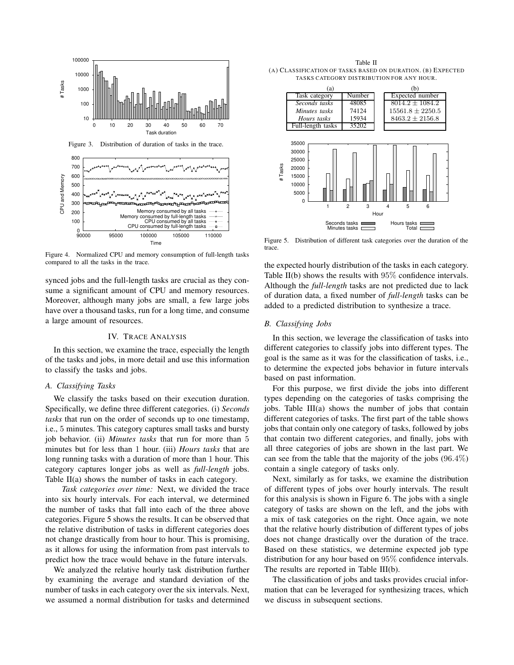



Figure 4. Normalized CPU and memory consumption of full-length tasks compared to all the tasks in the trace.

synced jobs and the full-length tasks are crucial as they consume a significant amount of CPU and memory resources. Moreover, although many jobs are small, a few large jobs have over a thousand tasks, run for a long time, and consume a large amount of resources.

## IV. TRACE ANALYSIS

In this section, we examine the trace, especially the length of the tasks and jobs, in more detail and use this information to classify the tasks and jobs.

#### *A. Classifying Tasks*

We classify the tasks based on their execution duration. Specifically, we define three different categories. (i) *Seconds tasks* that run on the order of seconds up to one timestamp, i.e., 5 minutes. This category captures small tasks and bursty job behavior. (ii) *Minutes tasks* that run for more than 5 minutes but for less than 1 hour. (iii) *Hours tasks* that are long running tasks with a duration of more than 1 hour. This category captures longer jobs as well as *full-length* jobs. Table II(a) shows the number of tasks in each category.

*Task categories over time:* Next, we divided the trace into six hourly intervals. For each interval, we determined the number of tasks that fall into each of the three above categories. Figure 5 shows the results. It can be observed that the relative distribution of tasks in different categories does not change drastically from hour to hour. This is promising, as it allows for using the information from past intervals to predict how the trace would behave in the future intervals.

We analyzed the relative hourly task distribution further by examining the average and standard deviation of the number of tasks in each category over the six intervals. Next, we assumed a normal distribution for tasks and determined



Figure 5. Distribution of different task categories over the duration of the trace.

Seconds tasks Minutes tasks

1 2 3 4 5 6

Hour

Hours tasks E nus.co<br>Total

the expected hourly distribution of the tasks in each category. Table II(b) shows the results with 95% confidence intervals. Although the *full-length* tasks are not predicted due to lack of duration data, a fixed number of *full-length* tasks can be added to a predicted distribution to synthesize a trace.

## *B. Classifying Jobs*

In this section, we leverage the classification of tasks into different categories to classify jobs into different types. The goal is the same as it was for the classification of tasks, i.e., to determine the expected jobs behavior in future intervals based on past information.

For this purpose, we first divide the jobs into different types depending on the categories of tasks comprising the jobs. Table III(a) shows the number of jobs that contain different categories of tasks. The first part of the table shows jobs that contain only one category of tasks, followed by jobs that contain two different categories, and finally, jobs with all three categories of jobs are shown in the last part. We can see from the table that the majority of the jobs  $(96.4\%)$ contain a single category of tasks only.

Next, similarly as for tasks, we examine the distribution of different types of jobs over hourly intervals. The result for this analysis is shown in Figure 6. The jobs with a single category of tasks are shown on the left, and the jobs with a mix of task categories on the right. Once again, we note that the relative hourly distribution of different types of jobs does not change drastically over the duration of the trace. Based on these statistics, we determine expected job type distribution for any hour based on 95% confidence intervals. The results are reported in Table III(b).

The classification of jobs and tasks provides crucial information that can be leveraged for synthesizing traces, which we discuss in subsequent sections.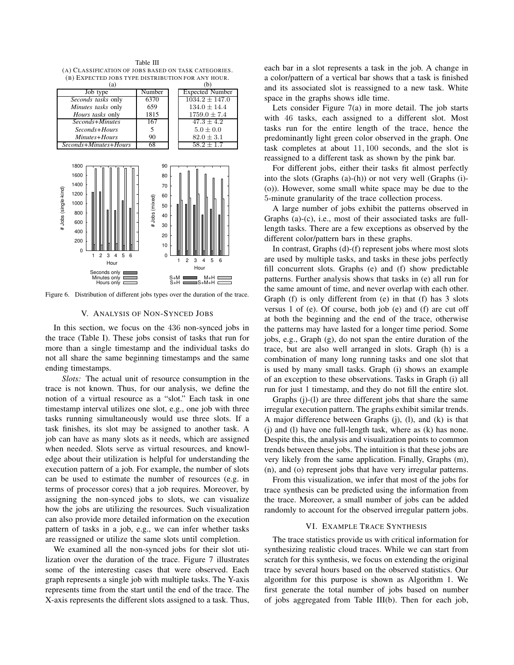(A) CLASS IFICATION OF JOBS BASED ON TASK CATEGORIES. (B) EXPECTED JOBS TYPE DISTRIBUTION FOR ANY HOUR.<br>(a) (b)  $(a)$  (b) Job type Number Expected Number *Seconds tasks* only  $\begin{array}{|l} 6370 \ 639 \ 134.0 \pm 14.4 \end{array}$ <br>Minutes tasks only  $\begin{array}{|l} 659 \ 134.0 \pm 14.4 \end{array}$ *Minutes tasks* only *Hours tasks* only 1815 1759.0  $\pm 7.4$  *167 47.3 ± 4.2*  $\begin{array}{c|c|c|c} \text{Seconds+Hours} & \text{5} & \text{5.0} \pm 0.0 \\ \text{Minutes+Hours} & \text{90} & \text{82.0} \pm 3.1 \\ \end{array}$ *Minutes+Hours* 90 82.0 ± 3.1<br> *nds+Minutes+Hours* 68 58.2 ± 1.7  $Seconds+Minutes+House$  1800 90 1600 80 1400 70 # Jobs (single-kind) # Jobs (single-kind) 1200 60 # Jobs (mixed) # Jobs (mixed) 1000 50 800 40 600 30 400 20 200 10 0 1 2 3 4 5 6  $\Omega$ 1 2 3 4 5 6 Hour Hour Seconds only Minutes only S+M S+H M+H S+M+H Hours only

Table III

Figure 6. Distribution of different jobs types over the duration of the trace.

## V. ANALYSIS OF NON-SYNCED JOBS

In this section, we focus on the 436 non-synced jobs in the trace (Table I). These jobs consist of tasks that run for more than a single timestamp and the individual tasks do not all share the same beginning timestamps and the same ending timestamps.

*Slots:* The actual unit of resource consumption in the trace is not known. Thus, for our analysis, we define the notion of a virtual resource as a "slot." Each task in one timestamp interval utilizes one slot, e.g., one job with three tasks running simultaneously would use three slots. If a task finishes, its slot may be assigned to another task. A job can have as many slots as it needs, which are assigned when needed. Slots serve as virtual resources, and knowledge about their utilization is helpful for understanding the execution pattern of a job. For example, the number of slots can be used to estimate the number of resources (e.g. in terms of processor cores) that a job requires. Moreover, by assigning the non-synced jobs to slots, we can visualize how the jobs are utilizing the resources. Such visualization can also provide more detailed information on the execution pattern of tasks in a job, e.g., we can infer whether tasks are reassigned or utilize the same slots until completion.

We examined all the non-synced jobs for their slot utilization over the duration of the trace. Figure 7 illustrates some of the interesting cases that were observed. Each graph represents a single job with multiple tasks. The Y-axis represents time from the start until the end of the trace. The X-axis represents the different slots assigned to a task. Thus, each bar in a slot represents a task in the job. A change in a color/pattern of a vertical bar shows that a task is finished and its associated slot is reassigned to a new task. White space in the graphs shows idle time.

Lets consider Figure 7(a) in more detail. The job starts with 46 tasks, each assigned to a different slot. Most tasks run for the entire length of the trace, hence the predominantly light green color observed in the graph. One task completes at about 11, 100 seconds, and the slot is reassigned to a different task as shown by the pink bar.

For different jobs, either their tasks fit almost perfectly into the slots (Graphs (a)-(h)) or not very well (Graphs (i)- (o)). However, some small white space may be due to the 5-minute granularity of the trace collection process.

A large number of jobs exhibit the patterns observed in Graphs (a)-(c), i.e., most of their associated tasks are fulllength tasks. There are a few exceptions as observed by the different color/pattern bars in these graphs.

In contrast, Graphs (d)-(f) represent jobs where most slots are used by multiple tasks, and tasks in these jobs perfectly fill concurrent slots. Graphs (e) and (f) show predictable patterns. Further analysis shows that tasks in (e) all run for the same amount of time, and never overlap with each other. Graph (f) is only different from (e) in that (f) has 3 slots versus 1 of (e). Of course, both job (e) and (f) are cut off at both the beginning and the end of the trace, otherwise the patterns may have lasted for a longer time period. Some jobs, e.g., Graph (g), do not span the entire duration of the trace, but are also well arranged in slots. Graph (h) is a combination of many long running tasks and one slot that is used by many small tasks. Graph (i) shows an example of an exception to these observations. Tasks in Graph (i) all run for just 1 timestamp, and they do not fill the entire slot.

Graphs (j)-(l) are three different jobs that share the same irregular execution pattern. The graphs exhibit similar trends. A major difference between Graphs (j), (l), and (k) is that (j) and (l) have one full-length task, where as (k) has none. Despite this, the analysis and visualization points to common trends between these jobs. The intuition is that these jobs are very likely from the same application. Finally, Graphs (m), (n), and (o) represent jobs that have very irregular patterns.

From this visualization, we infer that most of the jobs for trace synthesis can be predicted using the information from the trace. Moreover, a small number of jobs can be added randomly to account for the observed irregular pattern jobs.

## VI. EXAMPLE TRACE SYNTHESIS

The trace statistics provide us with critical information for synthesizing realistic cloud traces. While we can start from scratch for this synthesis, we focus on extending the original trace by several hours based on the observed statistics. Our algorithm for this purpose is shown as Algorithm 1. We first generate the total number of jobs based on number of jobs aggregated from Table III(b). Then for each job,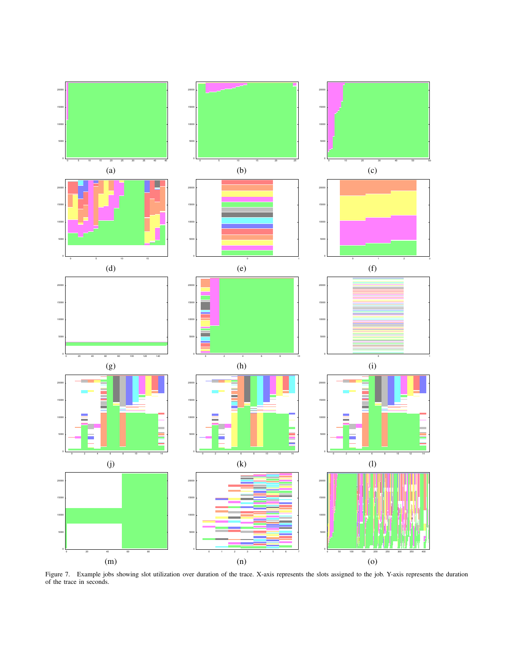

Figure 7. Example jobs showing slot utilization over duration of the trace. X-axis represents the slots assigned to the job. Y-axis represents the duration of the trace in seconds.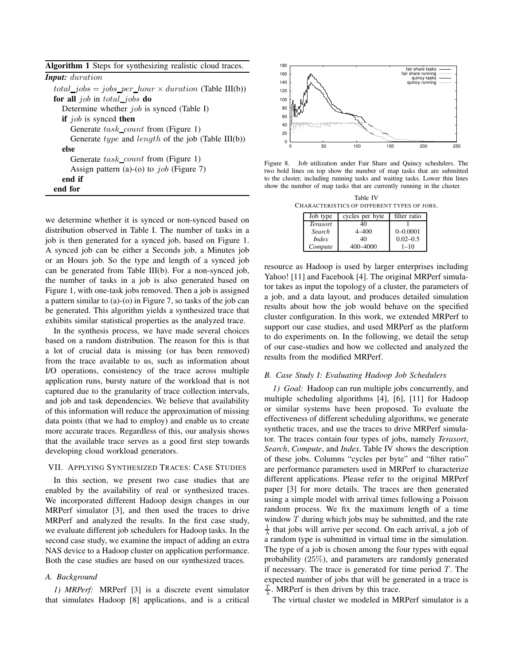| <b>Algorithm 1</b> Steps for synthesizing realistic cloud traces. |  |  |  |  |
|-------------------------------------------------------------------|--|--|--|--|
| <b>Input:</b> duration                                            |  |  |  |  |
| $total\_jobs = jobs\_per\_hour \times duration$ (Table III(b))    |  |  |  |  |
| for all job in total jobs do                                      |  |  |  |  |
| Determine whether <i>job</i> is synced (Table I)                  |  |  |  |  |
| <b>if</b> job is synced <b>then</b>                               |  |  |  |  |
| Generate task_count from (Figure 1)                               |  |  |  |  |
| Generate <i>type</i> and <i>length</i> of the job (Table III(b))  |  |  |  |  |
| else                                                              |  |  |  |  |
| Generate task_count from (Figure 1)                               |  |  |  |  |
| Assign pattern (a)-(o) to <i>job</i> (Figure 7)                   |  |  |  |  |
| end if                                                            |  |  |  |  |
| end for                                                           |  |  |  |  |

we determine whether it is synced or non-synced based on distribution observed in Table I. The number of tasks in a job is then generated for a synced job, based on Figure 1. A synced job can be either a Seconds job, a Minutes job or an Hours job. So the type and length of a synced job can be generated from Table III(b). For a non-synced job, the number of tasks in a job is also generated based on Figure 1, with one-task jobs removed. Then a job is assigned a pattern similar to (a)-(o) in Figure 7, so tasks of the job can be generated. This algorithm yields a synthesized trace that exhibits similar statistical properties as the analyzed trace.

In the synthesis process, we have made several choices based on a random distribution. The reason for this is that a lot of crucial data is missing (or has been removed) from the trace available to us, such as information about I/O operations, consistency of the trace across multiple application runs, bursty nature of the workload that is not captured due to the granularity of trace collection intervals, and job and task dependencies. We believe that availability of this information will reduce the approximation of missing data points (that we had to employ) and enable us to create more accurate traces. Regardless of this, our analysis shows that the available trace serves as a good first step towards developing cloud workload generators.

## VII. APPLYING SYNTHESIZED TRACES: CASE STUDIES

In this section, we present two case studies that are enabled by the availability of real or synthesized traces. We incorporated different Hadoop design changes in our MRPerf simulator [3], and then used the traces to drive MRPerf and analyzed the results. In the first case study, we evaluate different job schedulers for Hadoop tasks. In the second case study, we examine the impact of adding an extra NAS device to a Hadoop cluster on application performance. Both the case studies are based on our synthesized traces.

## *A. Background*

*1) MRPerf:* MRPerf [3] is a discrete event simulator that simulates Hadoop [8] applications, and is a critical



Figure 8. Job utilization under Fair Share and Quincy schedulers. The two bold lines on top show the number of map tasks that are submitted to the cluster, including running tasks and waiting tasks. Lower thin lines show the number of map tasks that are currently running in the cluster.

|          | Table IV                                      |  |
|----------|-----------------------------------------------|--|
|          | CHARACTERISTICS OF DIFFERENT TYPES OF JOBS.   |  |
|          |                                               |  |
| Job type | cycles per byte filter ratio<br>$\sim$ $\sim$ |  |

| JUU LYPE        | everes per ovie | miu rauv     |
|-----------------|-----------------|--------------|
| <b>Terasort</b> | 40              |              |
| Search          | 4–400           | $0 - 0.0001$ |
| <i>Index</i>    | 40              | $0.02 - 0.5$ |
| Compute         | 400-4000        | $1 - 10$     |
|                 |                 |              |

resource as Hadoop is used by larger enterprises including Yahoo! [11] and Facebook [4]. The original MRPerf simulator takes as input the topology of a cluster, the parameters of a job, and a data layout, and produces detailed simulation results about how the job would behave on the specified cluster configuration. In this work, we extended MRPerf to support our case studies, and used MRPerf as the platform to do experiments on. In the following, we detail the setup of our case-studies and how we collected and analyzed the results from the modified MRPerf.

## *B. Case Study I: Evaluating Hadoop Job Schedulers*

*1) Goal:* Hadoop can run multiple jobs concurrently, and multiple scheduling algorithms [4], [6], [11] for Hadoop or similar systems have been proposed. To evaluate the effectiveness of different scheduling algorithms, we generate synthetic traces, and use the traces to drive MRPerf simulator. The traces contain four types of jobs, namely *Terasort*, *Search*, *Compute*, and *Index*. Table IV shows the description of these jobs. Columns "cycles per byte" and "filter ratio" are performance parameters used in MRPerf to characterize different applications. Please refer to the original MRPerf paper [3] for more details. The traces are then generated using a simple model with arrival times following a Poisson random process. We fix the maximum length of a time window  $T$  during which jobs may be submitted, and the rate  $\frac{1}{\lambda}$  that jobs will arrive per second. On each arrival, a job of a random type is submitted in virtual time in the simulation. The type of a job is chosen among the four types with equal probability (25%), and parameters are randomly generated if necessary. The trace is generated for time period  $T$ . The expected number of jobs that will be generated in a trace is  $\frac{T}{\lambda}$ . MRPerf is then driven by this trace.

The virtual cluster we modeled in MRPerf simulator is a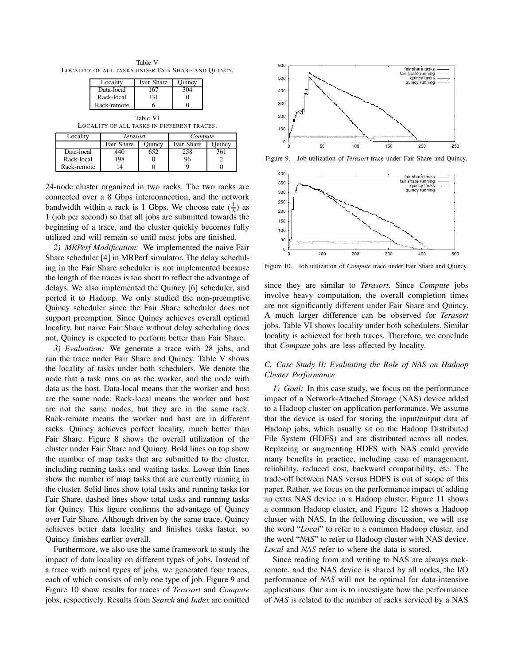Table V LOCALITY OF ALL TASKS UNDER FAIR SHARE AND QUINCY.

| Locality    | Fair Share | Juincv |
|-------------|------------|--------|
| Data-local  | 67         |        |
| Rack-local  | 131        |        |
| Rack-remote |            |        |

Table VI LOCALITY OF ALL TASKS IN DIFFERENT TRACES.

| Locality    | <b>Terasort</b> |        | Compute    |               |
|-------------|-----------------|--------|------------|---------------|
|             | Fair Share      | Ouincy | Fair Share | <b>Duincy</b> |
| Data-local  | 440             | 652    | 258        | 361           |
| Rack-local  | 198             |        | 96         |               |
| Rack-remote |                 |        |            |               |

24-node cluster organized in two racks. The two racks are connected over a 8 Gbps interconnection, and the network bandwidth within a rack is 1 Gbps. We choose rate  $(\frac{1}{\lambda})$  as 1 (job per second) so that all jobs are submitted towards the beginning of a trace, and the cluster quickly becomes fully utilized and will remain so until most jobs are finished.

*2) MRPerf Modification:* We implemented the naive Fair Share scheduler [4] in MRPerf simulator. The delay scheduling in the Fair Share scheduler is not implemented because the length of the traces is too short to reflect the advantage of delays. We also implemented the Quincy [6] scheduler, and ported it to Hadoop. We only studied the non-preemptive Quincy scheduler since the Fair Share scheduler does not support preemption. Since Quincy achieves overall optimal locality, but naive Fair Share without delay scheduling does not, Quincy is expected to perform better than Fair Share.

*3) Evaluation:* We generate a trace with 28 jobs, and run the trace under Fair Share and Quincy. Table V shows the locality of tasks under both schedulers. We denote the node that a task runs on as the worker, and the node with data as the host. Data-local means that the worker and host are the same node. Rack-local means the worker and host are not the same nodes, but they are in the same rack. Rack-remote means the worker and host are in different racks. Quincy achieves perfect locality, much better than Fair Share. Figure 8 shows the overall utilization of the cluster under Fair Share and Quincy. Bold lines on top show the number of map tasks that are submitted to the cluster, including running tasks and waiting tasks. Lower thin lines show the number of map tasks that are currently running in the cluster. Solid lines show total tasks and running tasks for Fair Share, dashed lines show total tasks and running tasks for Quincy. This figure confirms the advantage of Quincy over Fair Share. Although driven by the same trace, Quincy achieves better data locality and finishes tasks faster, so Quincy finishes earlier overall.

Furthermore, we also use the same framework to study the impact of data locality on different types of jobs. Instead of a trace with mixed types of jobs, we generated four traces, each of which consists of only one type of job. Figure 9 and Figure 10 show results for traces of *Terasort* and *Compute* jobs, respectively. Results from *Search* and *Index* are omitted



Figure 9. Job utilization of *Terasort* trace under Fair Share and Quincy.



Figure 10. Job utilization of *Compute* trace under Fair Share and Quincy.

since they are similar to *Terasort*. Since *Compute* jobs involve heavy computation, the overall completion times are not significantly different under Fair Share and Quincy. A much larger difference can be observed for *Terasort* jobs. Table VI shows locality under both schedulers. Similar locality is achieved for both traces. Therefore, we conclude that *Compute* jobs are less affected by locality.

# *C. Case Study II: Evaluating the Role of NAS on Hadoop Cluster Performance*

*1) Goal:* In this case study, we focus on the performance impact of a Network-Attached Storage (NAS) device added to a Hadoop cluster on application performance. We assume that the device is used for storing the input/output data of Hadoop jobs, which usually sit on the Hadoop Distributed File System (HDFS) and are distributed across all nodes. Replacing or augmenting HDFS with NAS could provide many benefits in practice, including ease of management, reliability, reduced cost, backward compatibility, etc. The trade-off between NAS versus HDFS is out of scope of this paper. Rather, we focus on the performance impact of adding an extra NAS device in a Hadoop cluster. Figure 11 shows a common Hadoop cluster, and Figure 12 shows a Hadoop cluster with NAS. In the following discussion, we will use the word "*Local*" to refer to a common Hadoop cluster, and the word "*NAS*" to refer to Hadoop cluster with NAS device. *Local* and *NAS* refer to where the data is stored.

Since reading from and writing to NAS are always rackremote, and the NAS device is shared by all nodes, the I/O performance of *NAS* will not be optimal for data-intensive applications. Our aim is to investigate how the performance of *NAS* is related to the number of racks serviced by a NAS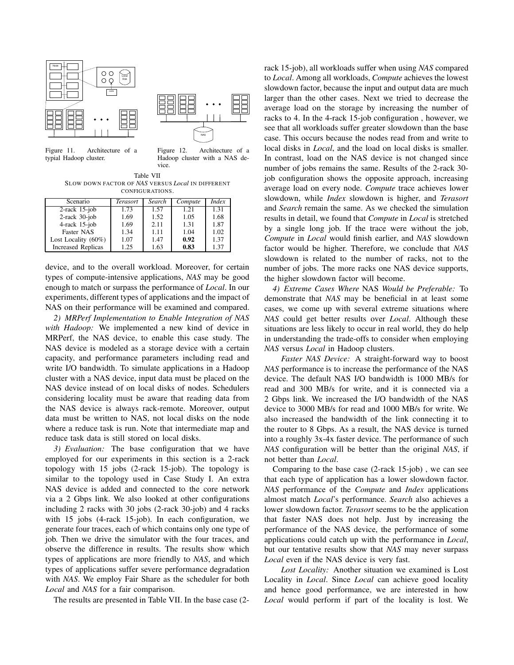



Figure 11. Architecture of a typial Hadoop cluster.

Figure 12. Architecture of a Hadoop cluster with a NAS device.

Table VII SLOW DOWN FACTOR OF *NAS* VERSUS *Local* IN DIFFERENT CONFIGURATIONS.

| Scenario                  | <b>Terasort</b> | Search | Compute | <i>Index</i> |
|---------------------------|-----------------|--------|---------|--------------|
| $2$ -rack 15-job          | 1.73            | 1.57   | 1.21    | 1.31         |
| $2$ -rack $30$ -job       | 1.69            | 1.52   | 1.05    | 1.68         |
| $4$ -rack 15-job          | 1.69            | 2.11   | 1.31    | 1.87         |
| Faster NAS                | 1.34            | 1.11   | 1.04    | 1.02         |
| Lost Locality $(60\%)$    | 1.07            | 1.47   | 0.92    | 1.37         |
| <b>Increased Replicas</b> | 1.25            | 1.63   | 0.83    | 1.37         |

device, and to the overall workload. Moreover, for certain types of compute-intensive applications, *NAS* may be good enough to match or surpass the performance of *Local*. In our experiments, different types of applications and the impact of NAS on their performance will be examined and compared.

*2) MRPerf Implementation to Enable Integration of NAS with Hadoop:* We implemented a new kind of device in MRPerf, the NAS device, to enable this case study. The NAS device is modeled as a storage device with a certain capacity, and performance parameters including read and write I/O bandwidth. To simulate applications in a Hadoop cluster with a NAS device, input data must be placed on the NAS device instead of on local disks of nodes. Schedulers considering locality must be aware that reading data from the NAS device is always rack-remote. Moreover, output data must be written to NAS, not local disks on the node where a reduce task is run. Note that intermediate map and reduce task data is still stored on local disks.

*3) Evaluation:* The base configuration that we have employed for our experiments in this section is a 2-rack topology with 15 jobs (2-rack 15-job). The topology is similar to the topology used in Case Study I. An extra NAS device is added and connected to the core network via a 2 Gbps link. We also looked at other configurations including 2 racks with 30 jobs (2-rack 30-job) and 4 racks with 15 jobs (4-rack 15-job). In each configuration, we generate four traces, each of which contains only one type of job. Then we drive the simulator with the four traces, and observe the difference in results. The results show which types of applications are more friendly to *NAS*, and which types of applications suffer severe performance degradation with *NAS*. We employ Fair Share as the scheduler for both *Local* and *NAS* for a fair comparison.

The results are presented in Table VII. In the base case (2-

rack 15-job), all workloads suffer when using *NAS* compared to *Local*. Among all workloads, *Compute* achieves the lowest slowdown factor, because the input and output data are much larger than the other cases. Next we tried to decrease the average load on the storage by increasing the number of racks to 4. In the 4-rack 15-job configuration , however, we see that all workloads suffer greater slowdown than the base case. This occurs because the nodes read from and write to local disks in *Local*, and the load on local disks is smaller. In contrast, load on the NAS device is not changed since number of jobs remains the same. Results of the 2-rack 30 job configuration shows the opposite approach, increasing average load on every node. *Compute* trace achieves lower slowdown, while *Index* slowdown is higher, and *Terasort* and *Search* remain the same. As we checked the simulation results in detail, we found that *Compute* in *Local* is stretched by a single long job. If the trace were without the job, *Compute* in *Local* would finish earlier, and *NAS* slowdown factor would be higher. Therefore, we conclude that *NAS* slowdown is related to the number of racks, not to the number of jobs. The more racks one NAS device supports, the higher slowdown factor will become.

*4) Extreme Cases Where* NAS *Would be Preferable:* To demonstrate that *NAS* may be beneficial in at least some cases, we come up with several extreme situations where *NAS* could get better results over *Local*. Although these situations are less likely to occur in real world, they do help in understanding the trade-offs to consider when employing *NAS* versus *Local* in Hadoop clusters.

*Faster NAS Device:* A straight-forward way to boost *NAS* performance is to increase the performance of the NAS device. The default NAS I/O bandwidth is 1000 MB/s for read and 300 MB/s for write, and it is connected via a 2 Gbps link. We increased the I/O bandwidth of the NAS device to 3000 MB/s for read and 1000 MB/s for write. We also increased the bandwidth of the link connecting it to the router to 8 Gbps. As a result, the NAS device is turned into a roughly 3x-4x faster device. The performance of such *NAS* configuration will be better than the original *NAS*, if not better than *Local*.

Comparing to the base case (2-rack 15-job) , we can see that each type of application has a lower slowdown factor. *NAS* performance of the *Compute* and *Index* applications almost match *Local*'s performance. *Search* also achieves a lower slowdown factor. *Terasort* seems to be the application that faster NAS does not help. Just by increasing the performance of the NAS device, the performance of some applications could catch up with the performance in *Local*, but our tentative results show that *NAS* may never surpass *Local* even if the NAS device is very fast.

*Lost Locality:* Another situation we examined is Lost Locality in *Local*. Since *Local* can achieve good locality and hence good performance, we are interested in how *Local* would perform if part of the locality is lost. We